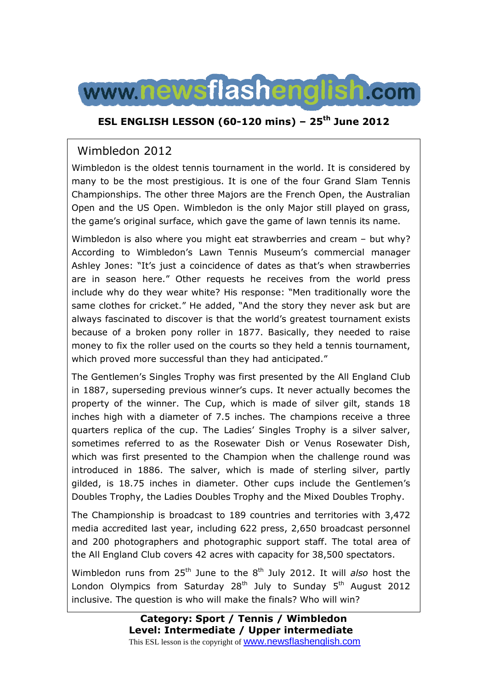

### **ESL ENGLISH LESSON (60-120 mins) – 25th June 2012**

## Wimbledon 2012

Wimbledon is the oldest tennis tournament in the world. It is considered by many to be the most prestigious. It is one of the four Grand Slam Tennis Championships. The other three Majors are the French Open, the Australian Open and the US Open. Wimbledon is the only Major still played on grass, the game's original surface, which gave the game of lawn tennis its name.

Wimbledon is also where you might eat strawberries and cream – but why? According to Wimbledon's Lawn Tennis Museum's commercial manager Ashley Jones: "It's just a coincidence of dates as that's when strawberries are in season here." Other requests he receives from the world press include why do they wear white? His response: "Men traditionally wore the same clothes for cricket." He added, "And the story they never ask but are always fascinated to discover is that the world's greatest tournament exists because of a broken pony roller in 1877. Basically, they needed to raise money to fix the roller used on the courts so they held a tennis tournament, which proved more successful than they had anticipated."

The Gentlemen's Singles Trophy was first presented by the All England Club in 1887, superseding previous winner's cups. It never actually becomes the property of the winner. The Cup, which is made of silver gilt, stands 18 inches high with a diameter of 7.5 inches. The champions receive a three quarters replica of the cup. The Ladies' Singles Trophy is a silver salver, sometimes referred to as the Rosewater Dish or Venus Rosewater Dish, which was first presented to the Champion when the challenge round was introduced in 1886. The salver, which is made of sterling silver, partly gilded, is 18.75 inches in diameter. Other cups include the Gentlemen's Doubles Trophy, the Ladies Doubles Trophy and the Mixed Doubles Trophy.

The Championship is broadcast to 189 countries and territories with 3,472 media accredited last year, including 622 press, 2,650 broadcast personnel and 200 photographers and photographic support staff. The total area of the All England Club covers 42 acres with capacity for 38,500 spectators.

Wimbledon runs from 25<sup>th</sup> June to the 8<sup>th</sup> July 2012. It will *also* host the London Olympics from Saturday  $28<sup>th</sup>$  July to Sunday  $5<sup>th</sup>$  August 2012 inclusive. The question is who will make the finals? Who will win?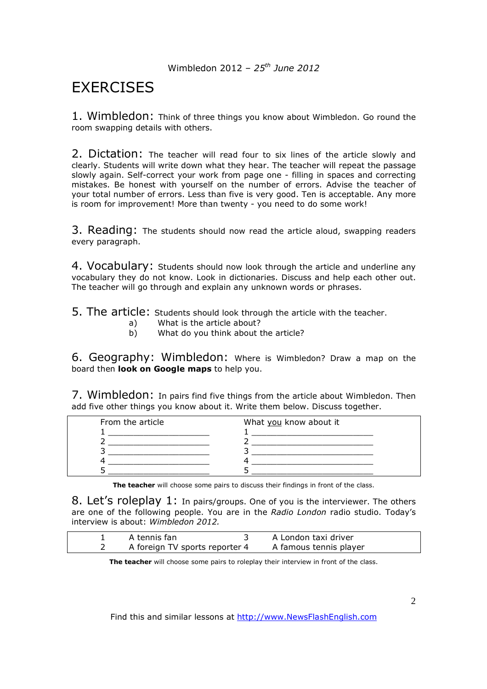# **EXERCISES**

1. Wimbledon: Think of three things you know about Wimbledon. Go round the room swapping details with others.

2. Dictation: The teacher will read four to six lines of the article slowly and clearly. Students will write down what they hear. The teacher will repeat the passage slowly again. Self-correct your work from page one - filling in spaces and correcting mistakes. Be honest with yourself on the number of errors. Advise the teacher of your total number of errors. Less than five is very good. Ten is acceptable. Any more is room for improvement! More than twenty - you need to do some work!

3. Reading: The students should now read the article aloud, swapping readers every paragraph.

4. Vocabulary: Students should now look through the article and underline any vocabulary they do not know. Look in dictionaries. Discuss and help each other out. The teacher will go through and explain any unknown words or phrases.

5. The article: Students should look through the article with the teacher.

- a) What is the article about?
- b) What do you think about the article?

6. Geography: Wimbledon: Where is Wimbledon? Draw a map on the board then **look on Google maps** to help you.

7. Wimbledon: In pairs find five things from the article about Wimbledon. Then add five other things you know about it. Write them below. Discuss together.

| From the article | What you know about it |
|------------------|------------------------|
|                  |                        |
|                  |                        |
|                  |                        |
|                  |                        |
|                  |                        |

**The teacher** will choose some pairs to discuss their findings in front of the class.

8. Let's roleplay 1: In pairs/groups. One of you is the interviewer. The others are one of the following people. You are in the *Radio London* radio studio. Today's interview is about: *Wimbledon 2012.* 

| A tennis fan                   | A London taxi driver   |
|--------------------------------|------------------------|
| A foreign TV sports reporter 4 | A famous tennis player |

**The teacher** will choose some pairs to roleplay their interview in front of the class.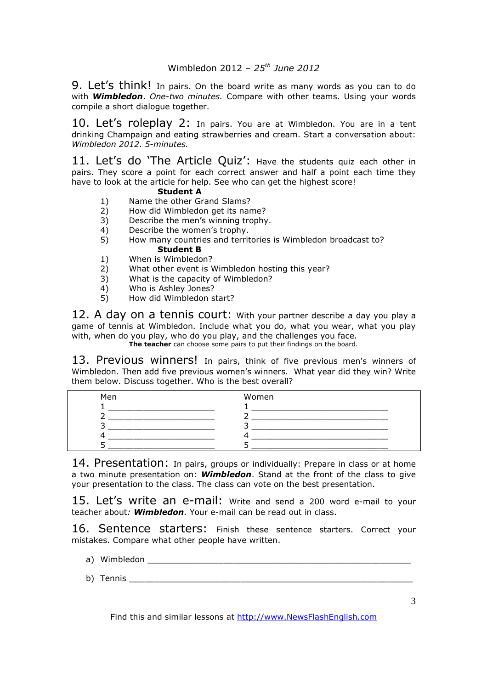9. Let's think! In pairs. On the board write as many words as you can to do with *Wimbledon*. *One-two minutes.* Compare with other teams. Using your words compile a short dialogue together.

10. Let's roleplay 2: In pairs. You are at Wimbledon. You are in a tent drinking Champaign and eating strawberries and cream. Start a conversation about: *Wimbledon 2012*. *5-minutes.* 

11. Let's do 'The Article Quiz': Have the students quiz each other in pairs. They score a point for each correct answer and half a point each time they have to look at the article for help. See who can get the highest score!

### **Student A**

- 1) Name the other Grand Slams?
- 2) How did Wimbledon get its name?<br>3) Describe the men's winning trophy
- 3) Describe the men's winning trophy.<br>4) Describe the women's trophy.
- Describe the women's trophy.
- 5) How many countries and territories is Wimbledon broadcast to? **Student B**
- 1) When is Wimbledon?
- 2) What other event is Wimbledon hosting this year?
- 3) What is the capacity of Wimbledon?
- 4) Who is Ashley Jones?<br>5) How did Wimbledon st
- 5) How did Wimbledon start?

12. A day on a tennis court: With your partner describe a day you play a game of tennis at Wimbledon. Include what you do, what you wear, what you play with, when do you play, who do you play, and the challenges you face.

The teacher can choose some pairs to put their findings on the board.

13. Previous winners! In pairs, think of five previous men's winners of Wimbledon. Then add five previous women's winners. What year did they win? Write them below. Discuss together. Who is the best overall?

| Men | Women |
|-----|-------|
|     |       |
|     |       |
|     |       |
|     |       |
|     |       |

14. Presentation: In pairs, groups or individually: Prepare in class or at home a two minute presentation on: *Wimbledon*. Stand at the front of the class to give your presentation to the class. The class can vote on the best presentation.

15. Let's write an e-mail: Write and send a 200 word e-mail to your teacher about*: Wimbledon.* Your e-mail can be read out in class.

16. Sentence starters: Finish these sentence starters. Correct your mistakes. Compare what other people have written.

- a) Wimbledon
- b) Tennis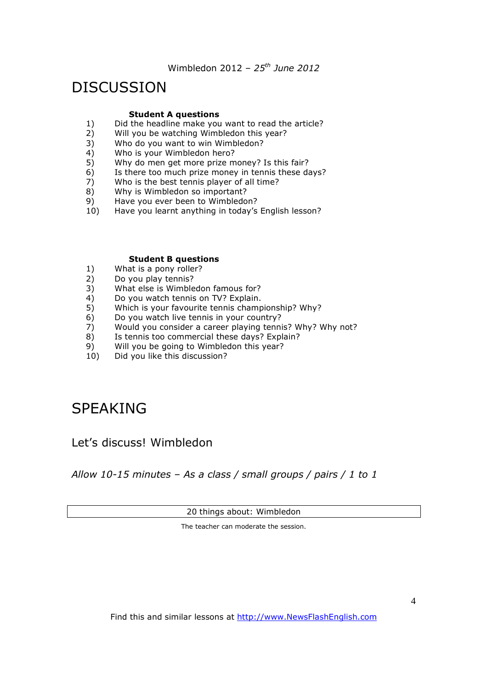# DISCUSSION

### **Student A questions**

- 1) Did the headline make you want to read the article?<br>2) Will you be watching Wimbledon this year?
- $2)$  Will you be watching Wimbledon this year?<br>3) Who do you want to win Wimbledon?
- Who do you want to win Wimbledon?
- 4) Who is your Wimbledon hero?
- 5) Why do men get more prize money? Is this fair?
- 6) Is there too much prize money in tennis these days?
- 7) Who is the best tennis player of all time?
- 8) Why is Wimbledon so important?
- 9) Have you ever been to Wimbledon?
- 10) Have you learnt anything in today's English lesson?

#### **Student B questions**

- 1) What is a pony roller?
- 2) Do you play tennis?
- 3) What else is Wimbledon famous for?
- 4) Do you watch tennis on TV? Explain.
- 5) Which is your favourite tennis championship? Why?<br>6) Do you watch live tennis in your country?
- Do you watch live tennis in your country?
- 7) Would you consider a career playing tennis? Why? Why not?<br>8) Is tennis too commercial these days? Explain?
- Is tennis too commercial these days? Explain?
- 9) Will you be going to Wimbledon this year?
- 10) Did you like this discussion?

# SPEAKING

### Let's discuss! Wimbledon

*Allow 10-15 minutes – As a class / small groups / pairs / 1 to 1* 

20 things about: Wimbledon

The teacher can moderate the session.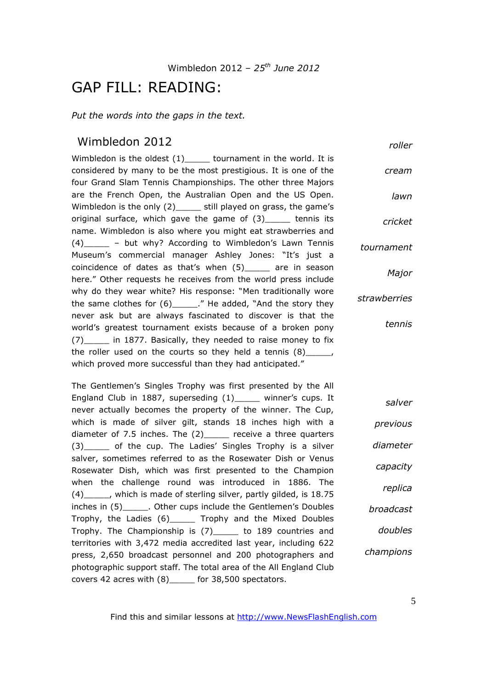## GAP FILL: READING:

*Put the words into the gaps in the text.* 

### Wimbledon 2012

*roller*

*cream*

*lawn*

*Major*

*tennis*

*salver*

Wimbledon is the oldest (1) tournament in the world. It is considered by many to be the most prestigious. It is one of the four Grand Slam Tennis Championships. The other three Majors are the French Open, the Australian Open and the US Open. Wimbledon is the only (2)\_\_\_\_\_ still played on grass, the game's original surface, which gave the game of (3)\_\_\_\_\_ tennis its name. Wimbledon is also where you might eat strawberries and (4)\_\_\_\_\_ – but why? According to Wimbledon's Lawn Tennis Museum's commercial manager Ashley Jones: "It's just a coincidence of dates as that's when (5)\_\_\_\_\_ are in season here." Other requests he receives from the world press include why do they wear white? His response: "Men traditionally wore the same clothes for  $(6)$ \_\_\_\_\_." He added, "And the story they never ask but are always fascinated to discover is that the world's greatest tournament exists because of a broken pony (7)\_\_\_\_\_ in 1877. Basically, they needed to raise money to fix the roller used on the courts so they held a tennis (8)\_\_\_\_\_, which proved more successful than they had anticipated." *cricket tournament strawberries*

The Gentlemen's Singles Trophy was first presented by the All England Club in 1887, superseding (1)\_\_\_\_\_ winner's cups. It never actually becomes the property of the winner. The Cup, which is made of silver gilt, stands 18 inches high with a diameter of 7.5 inches. The (2)\_\_\_\_\_ receive a three quarters (3)\_\_\_\_\_ of the cup. The Ladies' Singles Trophy is a silver salver, sometimes referred to as the Rosewater Dish or Venus Rosewater Dish, which was first presented to the Champion when the challenge round was introduced in 1886. The (4)\_\_\_\_\_, which is made of sterling silver, partly gilded, is 18.75 inches in (5) Cher cups include the Gentlemen's Doubles Trophy, the Ladies (6)\_\_\_\_\_ Trophy and the Mixed Doubles Trophy. The Championship is (7)\_\_\_\_\_ to 189 countries and territories with 3,472 media accredited last year, including 622 press, 2,650 broadcast personnel and 200 photographers and photographic support staff. The total area of the All England Club covers 42 acres with (8)\_\_\_\_\_ for 38,500 spectators.

*previous diameter capacity replica broadcast doubles champions*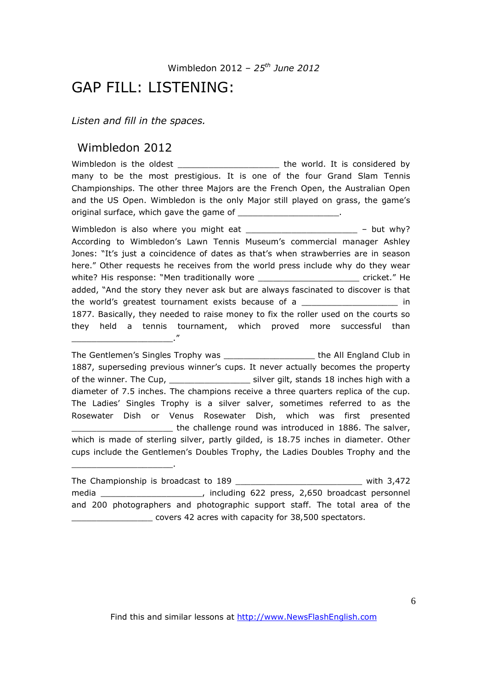## GAP FILL: LISTENING:

*Listen and fill in the spaces.* 

### Wimbledon 2012

\_\_\_\_\_\_\_\_\_\_\_\_\_\_\_\_\_\_\_\_."

\_\_\_\_\_\_\_\_\_\_\_\_\_\_\_\_\_\_\_\_.

Wimbledon is the oldest \_\_\_\_\_\_\_\_\_\_\_\_\_\_\_\_\_\_\_\_\_\_\_\_\_\_\_ the world. It is considered by many to be the most prestigious. It is one of the four Grand Slam Tennis Championships. The other three Majors are the French Open, the Australian Open and the US Open. Wimbledon is the only Major still played on grass, the game's original surface, which gave the game of \_\_\_\_\_\_\_\_\_\_\_\_\_\_\_\_\_\_\_\_\_\_.

Wimbledon is also where you might eat  $\frac{1}{2}$  \_\_\_\_\_\_\_\_\_\_\_\_\_\_\_\_\_\_\_\_\_\_\_\_\_\_\_\_\_\_\_\_\_ – but why? According to Wimbledon's Lawn Tennis Museum's commercial manager Ashley Jones: "It's just a coincidence of dates as that's when strawberries are in season here." Other requests he receives from the world press include why do they wear white? His response: "Men traditionally wore example and the cricket." He added, "And the story they never ask but are always fascinated to discover is that the world's greatest tournament exists because of a \_\_\_\_\_\_\_\_\_\_\_\_\_\_\_\_\_\_\_\_\_\_\_\_\_\_\_\_ in 1877. Basically, they needed to raise money to fix the roller used on the courts so they held a tennis tournament, which proved more successful than

The Gentlemen's Singles Trophy was \_\_\_\_\_\_\_\_\_\_\_\_\_\_\_\_\_\_ the All England Club in 1887, superseding previous winner's cups. It never actually becomes the property of the winner. The Cup, \_\_\_\_\_\_\_\_\_\_\_\_\_\_\_\_\_\_\_\_\_ silver gilt, stands 18 inches high with a diameter of 7.5 inches. The champions receive a three quarters replica of the cup. The Ladies' Singles Trophy is a silver salver, sometimes referred to as the Rosewater Dish or Venus Rosewater Dish, which was first presented the challenge round was introduced in 1886. The salver, which is made of sterling silver, partly gilded, is 18.75 inches in diameter. Other cups include the Gentlemen's Doubles Trophy, the Ladies Doubles Trophy and the

The Championship is broadcast to 189 **The Championship** is broadcast to 189 media The media and the media control of the media of the media of the media of the media of the media of the media of the media of the media of the media of the media of the media of the media of the media of the media of and 200 photographers and photographic support staff. The total area of the \_\_\_\_\_\_\_\_\_\_\_\_\_\_\_\_ covers 42 acres with capacity for 38,500 spectators.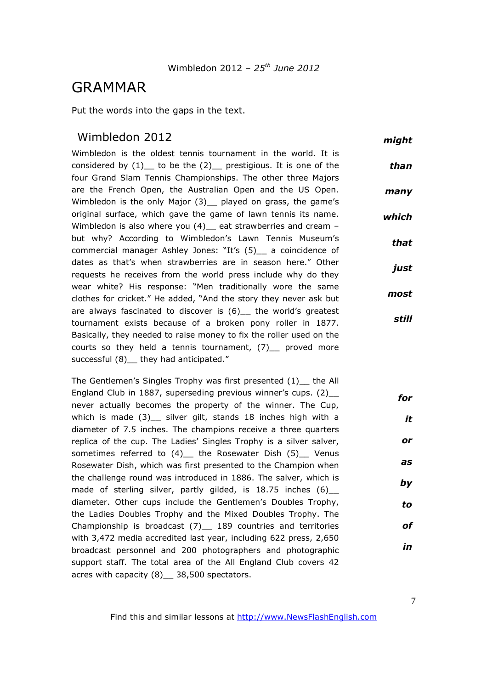## GRAMMAR

Put the words into the gaps in the text.

### Wimbledon 2012

Wimbledon is the oldest tennis tournament in the world. It is considered by  $(1)$  to be the  $(2)$  prestigious. It is one of the four Grand Slam Tennis Championships. The other three Majors are the French Open, the Australian Open and the US Open. Wimbledon is the only Major (3) played on grass, the game's original surface, which gave the game of lawn tennis its name. Wimbledon is also where you (4) eat strawberries and cream but why? According to Wimbledon's Lawn Tennis Museum's commercial manager Ashley Jones: "It's (5)\_\_ a coincidence of dates as that's when strawberries are in season here." Other requests he receives from the world press include why do they wear white? His response: "Men traditionally wore the same clothes for cricket." He added, "And the story they never ask but are always fascinated to discover is (6) the world's greatest tournament exists because of a broken pony roller in 1877. Basically, they needed to raise money to fix the roller used on the courts so they held a tennis tournament,  $(7)$  proved more successful (8) they had anticipated." *than many which that just most still*

The Gentlemen's Singles Trophy was first presented (1) the All England Club in 1887, superseding previous winner's cups. (2) never actually becomes the property of the winner. The Cup, which is made (3) silver gilt, stands 18 inches high with a diameter of 7.5 inches. The champions receive a three quarters replica of the cup. The Ladies' Singles Trophy is a silver salver, sometimes referred to (4) the Rosewater Dish (5) Venus Rosewater Dish, which was first presented to the Champion when the challenge round was introduced in 1886. The salver, which is made of sterling silver, partly gilded, is 18.75 inches (6)\_ diameter. Other cups include the Gentlemen's Doubles Trophy, the Ladies Doubles Trophy and the Mixed Doubles Trophy. The Championship is broadcast (7)\_\_ 189 countries and territories with 3,472 media accredited last year, including 622 press, 2,650 broadcast personnel and 200 photographers and photographic support staff. The total area of the All England Club covers 42 acres with capacity (8) \_ 38,500 spectators. *for it or as by to of in*